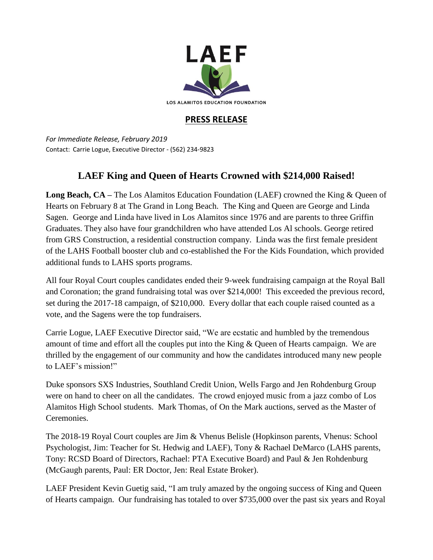

## **PRESS RELEASE**

*For Immediate Release, February 2019* Contact: Carrie Logue, Executive Director - (562) 234-9823

## **LAEF King and Queen of Hearts Crowned with \$214,000 Raised!**

**Long Beach, CA –** The Los Alamitos Education Foundation (LAEF) crowned the King & Queen of Hearts on February 8 at The Grand in Long Beach. The King and Queen are George and Linda Sagen. George and Linda have lived in Los Alamitos since 1976 and are parents to three Griffin Graduates. They also have four grandchildren who have attended Los Al schools. George retired from GRS Construction, a residential construction company. Linda was the first female president of the LAHS Football booster club and co-established the For the Kids Foundation, which provided additional funds to LAHS sports programs.

All four Royal Court couples candidates ended their 9-week fundraising campaign at the Royal Ball and Coronation; the grand fundraising total was over \$214,000! This exceeded the previous record, set during the 2017-18 campaign, of \$210,000. Every dollar that each couple raised counted as a vote, and the Sagens were the top fundraisers.

Carrie Logue, LAEF Executive Director said, "We are ecstatic and humbled by the tremendous amount of time and effort all the couples put into the King & Queen of Hearts campaign. We are thrilled by the engagement of our community and how the candidates introduced many new people to LAEF's mission!"

Duke sponsors SXS Industries, Southland Credit Union, Wells Fargo and Jen Rohdenburg Group were on hand to cheer on all the candidates. The crowd enjoyed music from a jazz combo of Los Alamitos High School students. Mark Thomas, of On the Mark auctions, served as the Master of Ceremonies.

The 2018-19 Royal Court couples are Jim & Vhenus Belisle (Hopkinson parents, Vhenus: School Psychologist, Jim: Teacher for St. Hedwig and LAEF), Tony & Rachael DeMarco (LAHS parents, Tony: RCSD Board of Directors, Rachael: PTA Executive Board) and Paul & Jen Rohdenburg (McGaugh parents, Paul: ER Doctor, Jen: Real Estate Broker).

LAEF President Kevin Guetig said, "I am truly amazed by the ongoing success of King and Queen of Hearts campaign. Our fundraising has totaled to over \$735,000 over the past six years and Royal